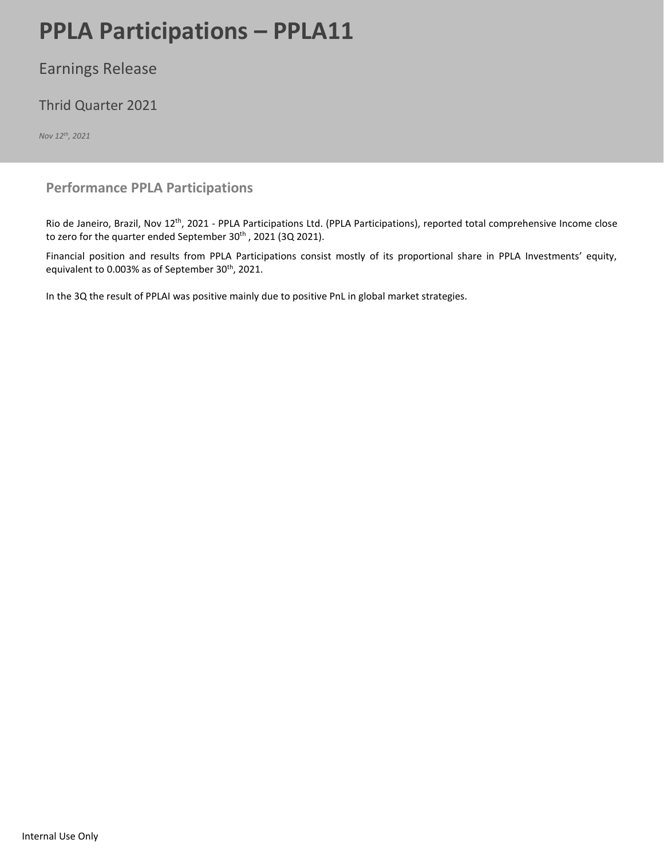# **PPLA Participations – PPLA11** Page 12021 Page 12021 Page 12021 Page 12021 Page 12021 Page 12021 Page 12021 Page 12021 Page 12021 Page 12021 Page 12021 Page 12021 Page 12021 Page 12021 Page 12021 Page 12021 Page 12021 Page

## Earnings Release

## Thrid Quarter 2021

*Nov 12th, 2021*

### **Performance PPLA Participations**

Rio de Janeiro, Brazil, Nov 12th, 2021 - PPLA Participations Ltd. (PPLA Participations), reported total comprehensive Income close to zero for the quarter ended September 30<sup>th</sup>, 2021 (3Q 2021).

Financial position and results from PPLA Participations consist mostly of its proportional share in PPLA Investments' equity, equivalent to 0.003% as of September 30<sup>th</sup>, 2021.

In the 3Q the result of PPLAI was positive mainly due to positive PnL in global market strategies.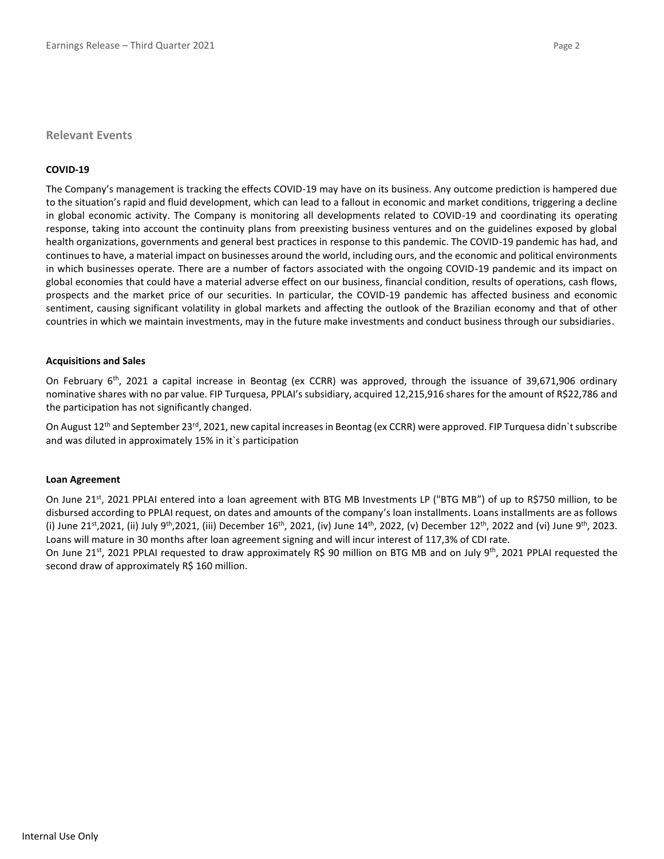#### **Relevant Events**

#### **COVID-19**

The Company's management is tracking the effects COVID-19 may have on its business. Any outcome prediction is hampered due to the situation's rapid and fluid development, which can lead to a fallout in economic and market conditions, triggering a decline in global economic activity. The Company is monitoring all developments related to COVID-19 and coordinating its operating response, taking into account the continuity plans from preexisting business ventures and on the guidelines exposed by global health organizations, governments and general best practices in response to this pandemic. The COVID-19 pandemic has had, and continues to have, a material impact on businesses around the world, including ours, and the economic and political environments in which businesses operate. There are a number of factors associated with the ongoing COVID-19 pandemic and its impact on global economies that could have a material adverse effect on our business, financial condition, results of operations, cash flows, prospects and the market price of our securities. In particular, the COVID-19 pandemic has affected business and economic sentiment, causing significant volatility in global markets and affecting the outlook of the Brazilian economy and that of other countries in which we maintain investments, may in the future make investments and conduct business through our subsidiaries.

#### **Acquisitions and Sales**

On February 6<sup>th</sup>, 2021 a capital increase in Beontag (ex CCRR) was approved, through the issuance of 39,671,906 ordinary nominative shares with no par value. FIP Turquesa, PPLAI's subsidiary, acquired 12,215,916 shares for the amount of R\$22,786 and the participation has not significantly changed.

On August 12<sup>th</sup> and September 23<sup>rd</sup>, 2021, new capital increases in Beontag (ex CCRR) were approved. FIP Turquesa didn`t subscribe and was diluted in approximately 15% in it`s participation

#### **Loan Agreement**

On June 21<sup>st</sup>, 2021 PPLAI entered into a loan agreement with BTG MB Investments LP ("BTG MB") of up to R\$750 million, to be disbursed according to PPLAI request, on dates and amounts of the company's loan installments. Loans installments are as follows (i) June 21<sup>st</sup>,2021, (ii) July 9<sup>th</sup>,2021, (iii) December 16<sup>th</sup>, 2021, (iv) June 14<sup>th</sup>, 2022, (v) December 12<sup>th</sup>, 2022 and (vi) June 9<sup>th</sup>, 2023. Loans will mature in 30 months after loan agreement signing and will incur interest of 117,3% of CDI rate.

On June 21<sup>st</sup>, 2021 PPLAI requested to draw approximately R\$ 90 million on BTG MB and on July 9<sup>th</sup>, 2021 PPLAI requested the second draw of approximately R\$ 160 million.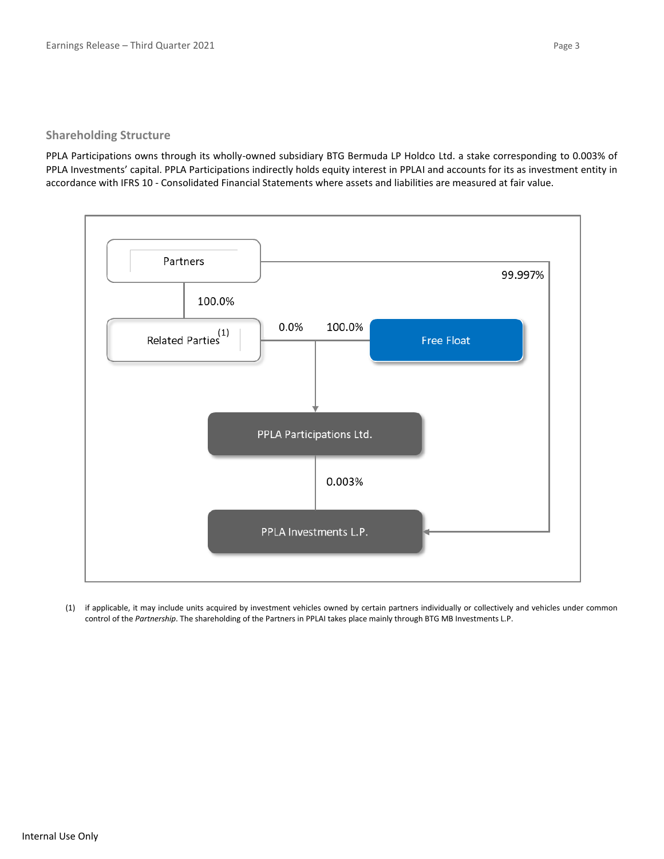#### **Shareholding Structure**

PPLA Participations owns through its wholly-owned subsidiary BTG Bermuda LP Holdco Ltd. a stake corresponding to 0.003% of PPLA Investments' capital. PPLA Participations indirectly holds equity interest in PPLAI and accounts for its as investment entity in accordance with IFRS 10 - Consolidated Financial Statements where assets and liabilities are measured at fair value.



(1) if applicable, it may include units acquired by investment vehicles owned by certain partners individually or collectively and vehicles under common control of the *Partnership*. The shareholding of the Partners in PPLAI takes place mainly through BTG MB Investments L.P.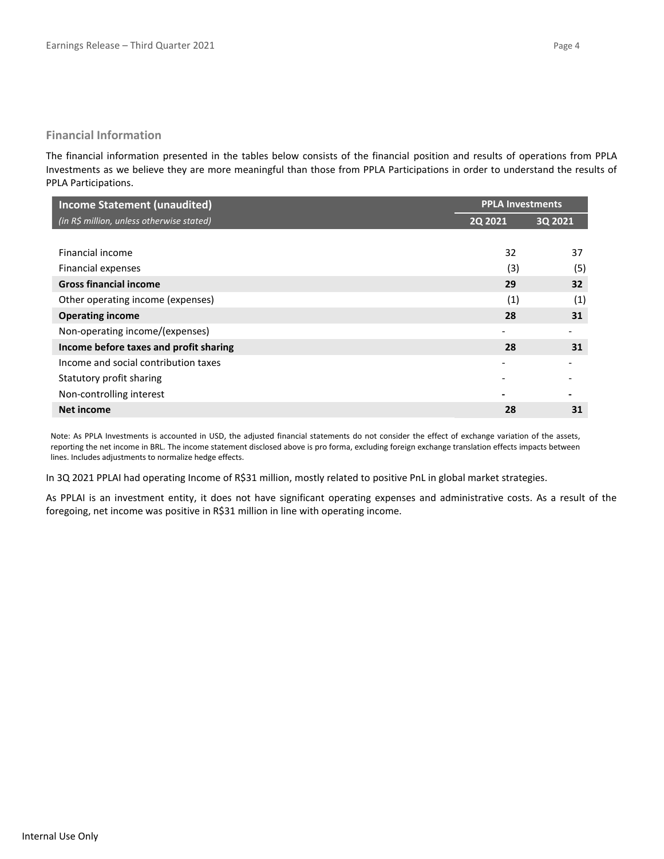#### **Financial Information**

The financial information presented in the tables below consists of the financial position and results of operations from PPLA Investments as we believe they are more meaningful than those from PPLA Participations in order to understand the results of PPLA Participations.

| <b>Income Statement (unaudited)</b>       | <b>PPLA Investments</b> |         |
|-------------------------------------------|-------------------------|---------|
| (in R\$ million, unless otherwise stated) | 2Q 2021                 | 3Q 2021 |
|                                           |                         |         |
| Financial income                          | 32                      | 37      |
| Financial expenses                        | (3)                     | (5)     |
| <b>Gross financial income</b>             | 29                      | 32      |
| Other operating income (expenses)         | (1)                     | (1)     |
| <b>Operating income</b>                   | 28                      | 31      |
| Non-operating income/(expenses)           |                         |         |
| Income before taxes and profit sharing    | 28                      | 31      |
| Income and social contribution taxes      |                         |         |
| Statutory profit sharing                  |                         |         |
| Non-controlling interest                  |                         |         |
| Net income                                | 28                      | 31      |

Note: As PPLA Investments is accounted in USD, the adjusted financial statements do not consider the effect of exchange variation of the assets, reporting the net income in BRL. The income statement disclosed above is pro forma, excluding foreign exchange translation effects impacts between lines. Includes adjustments to normalize hedge effects.

In 3Q 2021 PPLAI had operating Income of R\$31 million, mostly related to positive PnL in global market strategies.

As PPLAI is an investment entity, it does not have significant operating expenses and administrative costs. As a result of the foregoing, net income was positive in R\$31 million in line with operating income.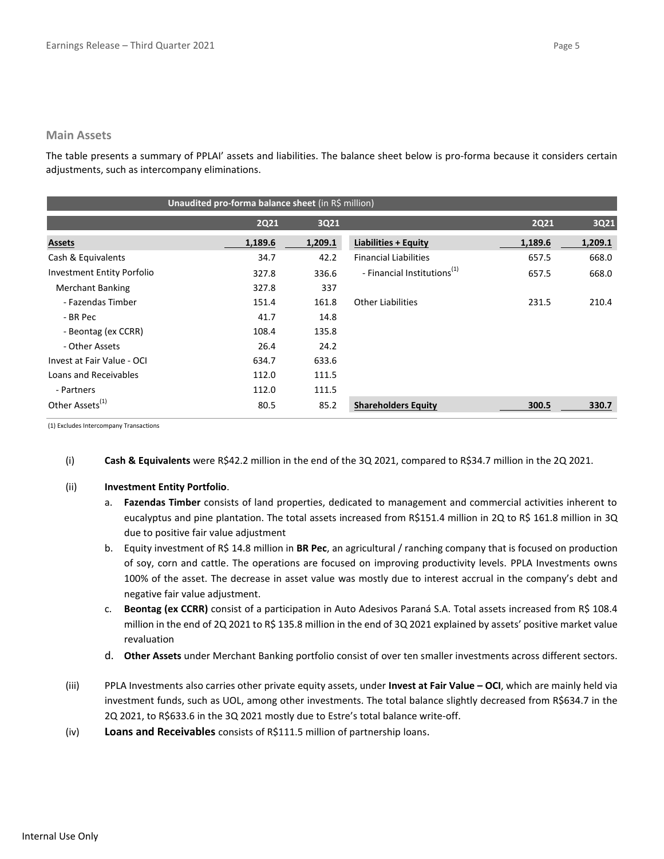#### **Main Assets**

The table presents a summary of PPLAI' assets and liabilities. The balance sheet below is pro-forma because it considers certain adjustments, such as intercompany eliminations.

| Unaudited pro-forma balance sheet (in R\$ million) |             |         |                                         |             |         |  |  |
|----------------------------------------------------|-------------|---------|-----------------------------------------|-------------|---------|--|--|
|                                                    | <b>2Q21</b> | 3Q21    |                                         | <b>2Q21</b> | 3Q21    |  |  |
| <b>Assets</b>                                      | 1,189.6     | 1,209.1 | Liabilities + Equity                    | 1,189.6     | 1,209.1 |  |  |
| Cash & Equivalents                                 | 34.7        | 42.2    | <b>Financial Liabilities</b>            | 657.5       | 668.0   |  |  |
| <b>Investment Entity Porfolio</b>                  | 327.8       | 336.6   | - Financial Institutions <sup>(1)</sup> | 657.5       | 668.0   |  |  |
| <b>Merchant Banking</b>                            | 327.8       | 337     |                                         |             |         |  |  |
| - Fazendas Timber                                  | 151.4       | 161.8   | <b>Other Liabilities</b>                | 231.5       | 210.4   |  |  |
| - BR Pec                                           | 41.7        | 14.8    |                                         |             |         |  |  |
| - Beontag (ex CCRR)                                | 108.4       | 135.8   |                                         |             |         |  |  |
| - Other Assets                                     | 26.4        | 24.2    |                                         |             |         |  |  |
| Invest at Fair Value - OCI                         | 634.7       | 633.6   |                                         |             |         |  |  |
| Loans and Receivables                              | 112.0       | 111.5   |                                         |             |         |  |  |
| - Partners                                         | 112.0       | 111.5   |                                         |             |         |  |  |
| Other Assets <sup>(1)</sup>                        | 80.5        | 85.2    | <b>Shareholders Equity</b>              | 300.5       | 330.7   |  |  |

(1) Excludes Intercompany Transactions

(i) **Cash & Equivalents** were R\$42.2 million in the end of the 3Q 2021, compared to R\$34.7 million in the 2Q 2021.

#### (ii) **Investment Entity Portfolio**.

- a. **Fazendas Timber** consists of land properties, dedicated to management and commercial activities inherent to eucalyptus and pine plantation. The total assets increased from R\$151.4 million in 2Q to R\$ 161.8 million in 3Q due to positive fair value adjustment
- b. Equity investment of R\$ 14.8 million in **BR Pec**, an agricultural / ranching company that is focused on production of soy, corn and cattle. The operations are focused on improving productivity levels. PPLA Investments owns 100% of the asset. The decrease in asset value was mostly due to interest accrual in the company's debt and negative fair value adjustment.
- c. Beontag (ex CCRR) consist of a participation in Auto Adesivos Paraná S.A. Total assets increased from R\$ 108.4 million in the end of 2Q 2021 to R\$ 135.8 million in the end of 3Q 2021 explained by assets' positive market value revaluation
- d. **Other Assets** under Merchant Banking portfolio consist of over ten smaller investments across different sectors.
- (iii) PPLA Investments also carries other private equity assets, under **Invest at Fair Value – OCI**, which are mainly held via investment funds, such as UOL, among other investments. The total balance slightly decreased from R\$634.7 in the 2Q 2021, to R\$633.6 in the 3Q 2021 mostly due to Estre's total balance write-off.
- (iv) **Loans and Receivables** consists of R\$111.5 million of partnership loans.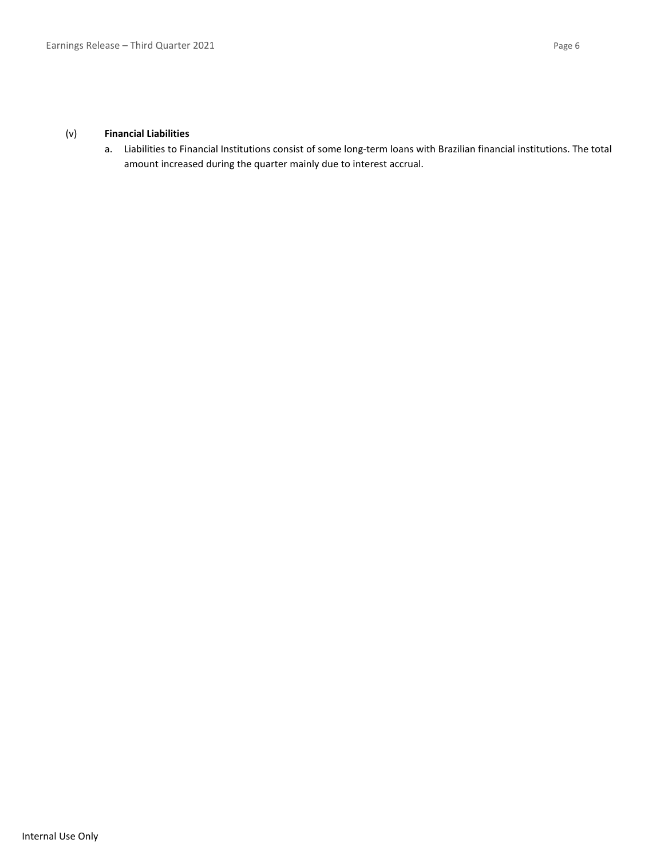a. Liabilities to Financial Institutions consist of some long-term loans with Brazilian financial institutions. The total amount increased during the quarter mainly due to interest accrual.